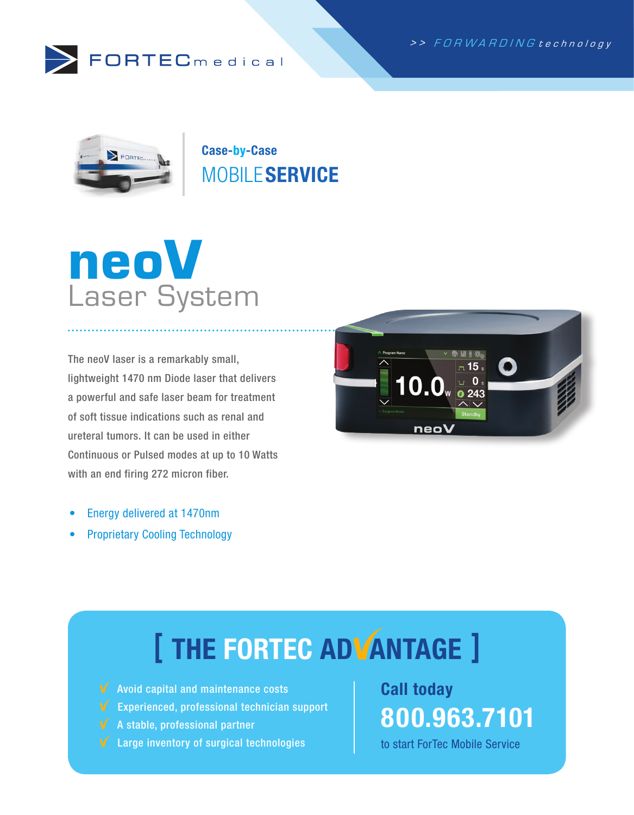



Case-by-Case MOBILE SERVICE



The neoV laser is a remarkably small, lightweight 1470 nm Diode laser that delivers a powerful and safe laser beam for treatment of soft tissue indications such as renal and ureteral tumors. It can be used in either Continuous or Pulsed modes at up to 10 Watts with an end firing 272 micron fiber.



- Energy delivered at 1470nm
- Proprietary Cooling Technology

# [ THE FORTEC ADVANTAGE ]

- $\sqrt{\phantom{a}}$  Avoid capital and maintenance costs
- Experienced, professional technician support
- A stable, professional partner
- Large inventory of surgical technologies

Call today 800.963.7101

to start ForTec Mobile Service